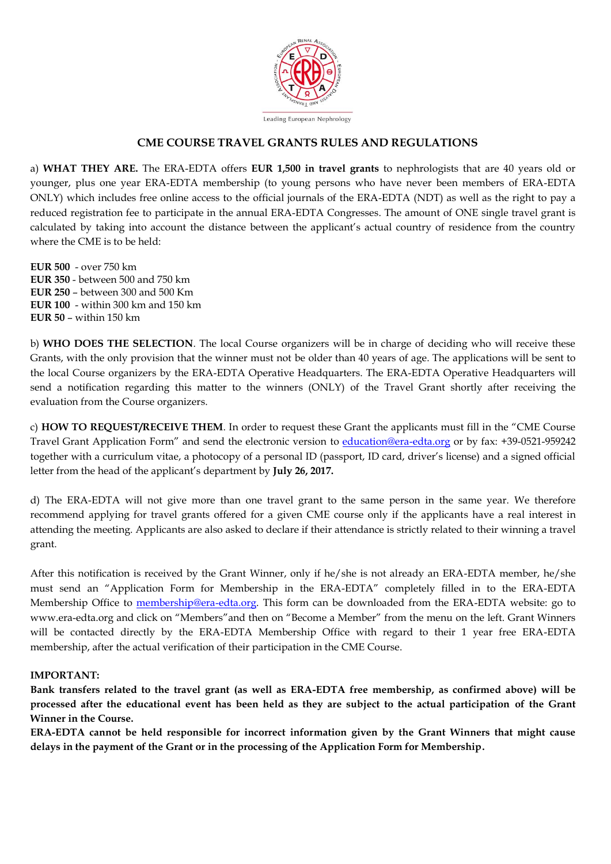

## **CME COURSE TRAVEL GRANTS RULES AND REGULATIONS**

a) **WHAT THEY ARE.** The ERA-EDTA offers **EUR 1,500 in travel grants** to nephrologists that are 40 years old or younger, plus one year ERA-EDTA membership (to young persons who have never been members of ERA-EDTA ONLY) which includes free online access to the official journals of the ERA-EDTA (NDT) as well as the right to pay a reduced registration fee to participate in the annual ERA-EDTA Congresses. The amount of ONE single travel grant is calculated by taking into account the distance between the applicant's actual country of residence from the country where the CME is to be held:

**EUR 500** - over 750 km **EUR 350** - between 500 and 750 km **EUR 250** – between 300 and 500 Km **EUR 100** - within 300 km and 150 km **EUR 50** – within 150 km

b) **WHO DOES THE SELECTION**. The local Course organizers will be in charge of deciding who will receive these Grants, with the only provision that the winner must not be older than 40 years of age. The applications will be sent to the local Course organizers by the ERA-EDTA Operative Headquarters. The ERA-EDTA Operative Headquarters will send a notification regarding this matter to the winners (ONLY) of the Travel Grant shortly after receiving the evaluation from the Course organizers.

c) **HOW TO REQUEST/RECEIVE THEM**. In order to request these Grant the applicants must fill in the "CME Course Travel Grant Application Form" and send the electronic version to [education@era-edta.org](mailto:education@era-edta.org) or by fax: +39-0521-959242 together with a curriculum vitae, a photocopy of a personal ID (passport, ID card, driver's license) and a signed official letter from the head of the applicant's department by **July 26, 2017.**

d) The ERA-EDTA will not give more than one travel grant to the same person in the same year. We therefore recommend applying for travel grants offered for a given CME course only if the applicants have a real interest in attending the meeting. Applicants are also asked to declare if their attendance is strictly related to their winning a travel grant.

After this notification is received by the Grant Winner, only if he/she is not already an ERA-EDTA member, he/she must send an "Application Form for Membership in the ERA-EDTA" completely filled in to the ERA-EDTA Membership Office to [membership@era-edta.org.](mailto:membership@era-edta.org) This form can be downloaded from the ERA-EDTA website: go to www.era-edta.org and click on "Members"and then on "Become a Member" from the menu on the left. Grant Winners will be contacted directly by the ERA-EDTA Membership Office with regard to their 1 year free ERA-EDTA membership, after the actual verification of their participation in the CME Course.

#### **IMPORTANT:**

**Bank transfers related to the travel grant (as well as ERA-EDTA free membership, as confirmed above) will be processed after the educational event has been held as they are subject to the actual participation of the Grant Winner in the Course.**

**ERA-EDTA cannot be held responsible for incorrect information given by the Grant Winners that might cause delays in the payment of the Grant or in the processing of the Application Form for Membership.**